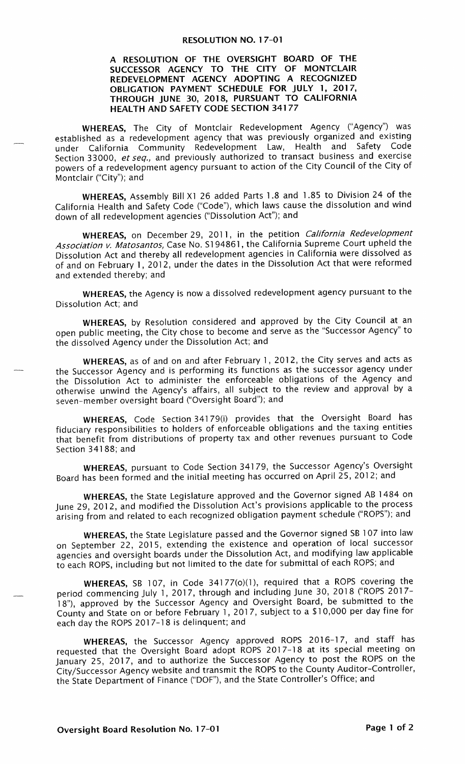## RESOLUTION NO. 17-01

## A RESOLUTION OF THE OVERSIGHT BOARD OF THE SUCCESSOR AGENCY TO THE CITY OF MONTCLAIR REDEVELOPMENT AGENCY ADOPTING A RECOGNIZED OBLIGATION PAYMENT SCHEDULE FOR JULY 1, 2017, THROUGH JUNE 30, 2018, PURSUANT TO CALIFORNIA HEALTH AND SAFETY CODE SECTION 34177

WHEREAS, The City of Montclair Redevelopment Agency ("Agency") was established as a redevelopment agency that was previously organized and existing under California Community Redevelopment Law, Health and Safety Code Section 33000, et seq., and previously authorized to transact business and exercise powers of a redevelopment agency pursuant to action of the City Council of the City of Montclair ("City"); and

WHEREAS, Assembly Bill X1 26 added Parts 1.8 and 1.85 to Division 24 of the California Health and Safety Code (" Code"), which laws cause the dissolution and wind down of all redevelopment agencies (" Dissolution Act"); and

WHEREAS, on December 29, 2011, in the petition California Redevelopment Association v. Matosantos, Case No. 5194861, the California Supreme Court upheld the Dissolution Act and thereby all redevelopment agencies in California were dissolved as of and on February 1, 2012, under the dates in the Dissolution Act that were reformed and extended thereby; and

WHEREAS, the Agency is now a dissolved redevelopment agency pursuant to the Dissolution Act; and

WHEREAS, by Resolution considered and approved by the City Council at an open public meeting, the City chose to become and serve as the " Successor Agency" to the dissolved Agency under the Dissolution Act; and

WHEREAS, as of and on and after February 1, 2012, the City serves and acts as the Successor Agency and is performing its functions as the successor agency under the Dissolution Act to administer the enforceable obligations of the Agency and otherwise unwind the Agency's affairs, all subject to the review and approval by a seven-member oversight board ("Oversight Board"); and

WHEREAS, Code Section 34179(i) provides that the Oversight Board has fiduciary responsibilities to holders of enforceable obligations and the taxing entities that benefit from distributions of property tax and other revenues pursuant to Code Section 34188; and

WHEREAS, pursuant to Code Section 34179, the Successor Agency's Oversight Board has been formed and the initial meeting has occurred on April 25, 2012; and

WHEREAS, the State Legislature approved and the Governor signed AB 1484 on June 29, 2012, and modified the Dissolution Act's provisions applicable to the process arising from and related to each recognized obligation payment schedule (" ROPS"); and

WHEREAS, the State Legislature passed and the Governor signed SB 107 into law on September 22, 2015, extending the existence and operation of local successor agencies and oversight boards under the Dissolution Act, and modifying law applicable to each ROPS, including but not limited to the date for submittal of each ROPS; and

WHEREAS, SB 107, in Code 34177(0)(1), required that a ROPS covering the period commencing July 1, 2017, through and including June 30, 2018 ("ROPS 2017-18"), approved by the Successor Agency and Oversight Board, be submitted to the County and State on or before February 1, 2017, subject to a \$ 10, 000 per day fine for each day the ROPS 2017- 18 is delinquent; and

WHEREAS, the Successor Agency approved ROPS 2016-17, and staff has requested that the Oversight Board adopt ROPS 2017- 18 at its special meeting on January 25, 2017, and to authorize the Successor Agency to post the ROPS on the City/ Successor Agency website and transmit the ROPS to the County Auditor -Controller, the State Department of Finance ("DOF"), and the State Controller's Office; and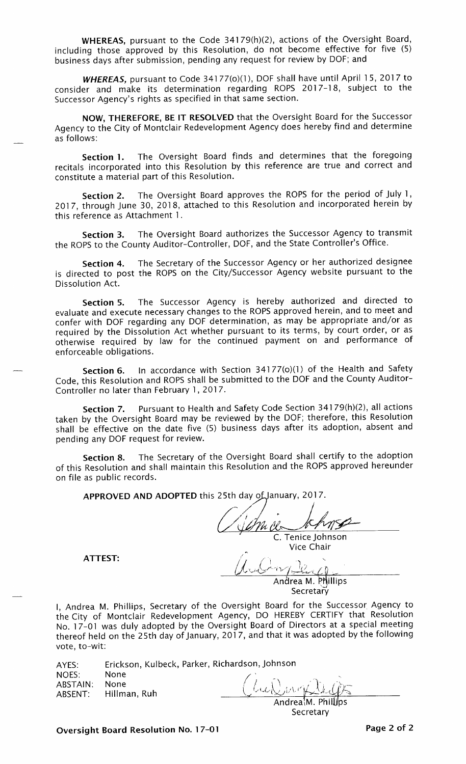WHEREAS, pursuant to the Code 34179(h)(2), actions of the Oversight Board, including those approved by this Resolution, do not become effective for five (5) business days after submission, pending any request for review by DOF; and

WHEREAS, pursuant to Code 34177(o)(1), DOF shall have until April 15, 2017 to consider and make its determination regarding ROPS 2017- 18, subject to the Successor Agency's rights as specified in that same section.

NOW, THEREFORE, BE IT RESOLVED that the Oversight Board for the Successor Agency to the City of Montclair Redevelopment Agency does hereby find and determine as follows:

Section 1. The Oversight Board finds and determines that the foregoing recitals incorporated into this Resolution by this reference are true and correct and constitute a material part of this Resolution.

Section 2. The Oversight Board approves the ROPS for the period of July 1, 2017, through June 30, 2018, attached to this Resolution and incorporated herein by this reference as Attachment 1.

Section 3. The Oversight Board authorizes the Successor Agency to transmit the ROPS to the County Auditor-Controller, DOF, and the State Controller's Office.

Section 4. The Secretary of the Successor Agency or her authorized designee is directed to post the ROPS on the City/Successor Agency website pursuant to the Dissolution Act.

Section S. The Successor Agency is hereby authorized and directed to evaluate and execute necessary changes to the ROPS approved herein, and to meet and confer with DOF regarding any DOF determination, as may be appropriate and/or as required by the Dissolution Act whether pursuant to its terms, by court order, or as otherwise required by law for the continued payment on and performance of enforceable obligations.

Section 6. In accordance with Section 34177(0)(1) of the Health and Safety Code, this Resolution and ROPS shall be submitted to the DOF and the County Auditor - Controller no later than February 1, 2017.

Section 7. Pursuant to Health and Safety Code Section 34179(h)(2), all actions taken by the Oversight Board may be reviewed by the DOF; therefore, this Resolution shall be effective on the date five (5) business days after its adoption, absent and pending any DOF request for review.

Section 8. The Secretary of the Oversight Board shall certify to the adoption of this Resolution and shall maintain this Resolution and the ROPS approved hereunder on file as public records.

APPROVED AND ADOPTED this 25th day of January, 2017.

C. Tenice Johnson Vice Chair

ATTEST:

Andrea M. Phillips **Secretary** 

I, Andrea M. Phillips, Secretary of the Oversight Board for the Successor Agency to the City of Montclair Redevelopment Agency, DO HEREBY CERTIFY that Resolution No. 17-01 was duly adopted by the Oversight Board of Directors at a special meeting thereof held on the 25th day of January, 2017, and that it was adopted by the following vote, to-wit:

| AYES:             |                                      | Erickson, Kulbeck, Parker, Richardson, Johnson    |
|-------------------|--------------------------------------|---------------------------------------------------|
| NOES:<br>ABSTAIN: | None<br>None<br>ABSENT: Hillman, Ruh | Children Dules<br>Andrea <sup>I</sup> M. Phillips |

Secretary

Oversight Board Resolution No. 17-01 **Page 2 of 2** Page 2 of 2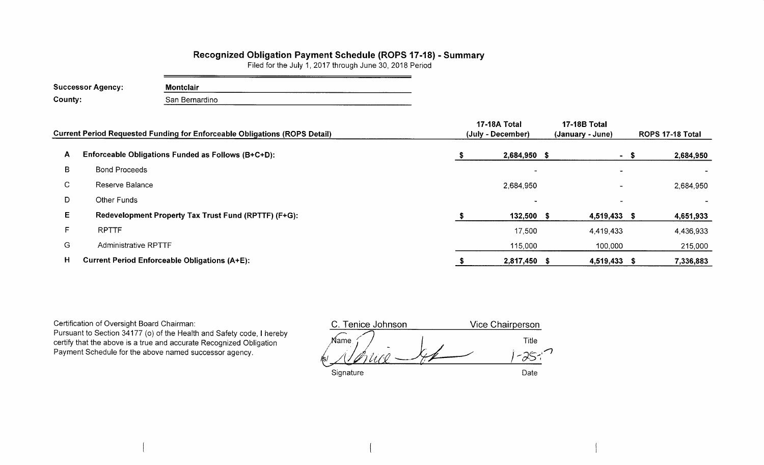## Recognized Obligation Payment Schedule (ROPS 17-18) - Summary

Filed for the July 1, 2017 through June 30, 2018 Period

| <b>Successor Agency:</b> | <b>Montclair</b> |  |
|--------------------------|------------------|--|
| County:                  | San Bernardino   |  |

| <b>Current Period Requested Funding for Enforceable Obligations (ROPS Detail)</b> |                                                      | 17-18A Total<br>(July - December) | <b>17-18B Total</b><br>(January - June) | ROPS 17-18 Total |           |  |
|-----------------------------------------------------------------------------------|------------------------------------------------------|-----------------------------------|-----------------------------------------|------------------|-----------|--|
| A                                                                                 | Enforceable Obligations Funded as Follows (B+C+D):   | 2,684,950 \$                      |                                         | - \$             | 2,684,950 |  |
| B                                                                                 | <b>Bond Proceeds</b>                                 | $\overline{\phantom{0}}$          | $\blacksquare$                          |                  |           |  |
| C.                                                                                | Reserve Balance                                      | 2,684,950                         | $\blacksquare$                          |                  | 2,684,950 |  |
| D.                                                                                | Other Funds                                          |                                   |                                         |                  |           |  |
| Е                                                                                 | Redevelopment Property Tax Trust Fund (RPTTF) (F+G): | 132,500 \$                        | 4,519,433 \$                            |                  | 4,651,933 |  |
|                                                                                   | <b>RPTTF</b>                                         | 17,500                            | 4,419,433                               |                  | 4,436,933 |  |
| G                                                                                 | <b>Administrative RPTTF</b>                          | 115,000                           | 100,000                                 |                  | 215,000   |  |
| H                                                                                 | <b>Current Period Enforceable Obligations (A+E):</b> | 2,817,450 \$                      | 4,519,433 \$                            |                  | 7,336,883 |  |

Certification of Oversight Board Chairman: Pursuant to Section 34177 (o) of the Health and Safety code, I hereby certify that the above is a true and accurate Recognized Obligation Payment Schedule for the above named successor agency.

C. Tenice Johnson **Vice Chairperson**  $\widehat{\mathbb{M}}$ ame Title f  $-25-$ D Signature Date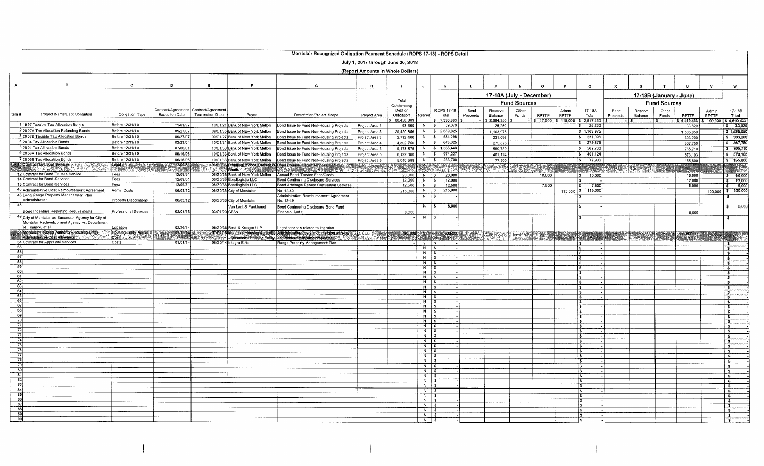|                                         |                                                                      |                                    |                       |                                       |                                                                      | Montclair Recognized Obligation Payment Schedule (ROPS 17-18) - ROPS Detail                                                                                                                                                    |                                    |                        |                              |                                    |          |                       |                          |              |              |                                                                                                                |             |         |                         |                       |               |                                            |
|-----------------------------------------|----------------------------------------------------------------------|------------------------------------|-----------------------|---------------------------------------|----------------------------------------------------------------------|--------------------------------------------------------------------------------------------------------------------------------------------------------------------------------------------------------------------------------|------------------------------------|------------------------|------------------------------|------------------------------------|----------|-----------------------|--------------------------|--------------|--------------|----------------------------------------------------------------------------------------------------------------|-------------|---------|-------------------------|-----------------------|---------------|--------------------------------------------|
|                                         |                                                                      |                                    |                       |                                       |                                                                      |                                                                                                                                                                                                                                | July 1, 2017 through June 30, 2018 |                        |                              |                                    |          |                       |                          |              |              |                                                                                                                |             |         |                         |                       |               |                                            |
|                                         |                                                                      |                                    |                       |                                       |                                                                      |                                                                                                                                                                                                                                | (Report Amounts in Whole Dollars)  |                        |                              |                                    |          |                       |                          |              |              |                                                                                                                |             |         |                         |                       |               |                                            |
| $\mathbf{A}$                            | $\mathbf{B}$                                                         | c                                  | D                     | E                                     | F.                                                                   | G                                                                                                                                                                                                                              | н                                  |                        | J.                           | $\mathbf{K}$                       |          | M                     |                          | $\Omega$     |              | $\Omega$                                                                                                       | $\mathbf R$ |         |                         |                       | $\mathbf{v}$  | w                                          |
|                                         |                                                                      |                                    |                       |                                       |                                                                      |                                                                                                                                                                                                                                |                                    |                        |                              |                                    |          |                       | 17-18A (July - December) |              |              |                                                                                                                |             |         | 17-18B (January - June) |                       |               |                                            |
|                                         |                                                                      |                                    |                       |                                       |                                                                      |                                                                                                                                                                                                                                |                                    | Total                  |                              |                                    |          |                       | <b>Fund Sources</b>      |              |              |                                                                                                                |             |         | <b>Fund Sources</b>     |                       |               |                                            |
|                                         |                                                                      |                                    |                       | Contract/Agreement Contract/Agreement |                                                                      |                                                                                                                                                                                                                                |                                    | Outstanding<br>Debt or |                              | ROPS 17-18                         | Bond     | Reserve               | Other                    |              | Admin        | 17-18A                                                                                                         | Bond        | Reserve | Other                   |                       | Admin         | 17-18B                                     |
| ltem #l                                 | Project Name/Debt Obligation                                         | Obligation Type                    | <b>Execution Date</b> | Termination Date                      | Payee                                                                | <b>Description/Project Scope</b>                                                                                                                                                                                               | Project Area                       | Obligation             | Retired                      | Total                              | Proceeds | Balance               | Funds                    | <b>RPTTF</b> | <b>RPTTF</b> | Total                                                                                                          | Proceeds    | Balance | Funds                   | <b>RPTTF</b>          | <b>RPTTF</b>  | Total                                      |
|                                         | 11997 Taxable Tax Allocation Bonds                                   | Before 12/31/10                    | 11/01/97              |                                       | 10/01/21 Bank of New York Mellon                                     | Bond Issue to Fund Non-Housing Projects                                                                                                                                                                                        | Project Area 1                     | 60,458,889<br>93.860   | $N$ $\sqrt{S}$               | $$7,336,883$ \$<br>59,070          |          | \$2,684,950<br>25,250 |                          | \$17,500     | \$115,000    | 2,817,450<br>25.250                                                                                            |             |         |                         | \$4,419,433<br>33,820 | $5 - 100,000$ | 54,519,433<br>$5 - 33,820$                 |
|                                         | 2 2007A Tax Allocation Refunding Bonds                               | Before 12/31/10                    | 09/27/07              |                                       | 09/01/35 Bank of New York Mellon                                     | Bond Issue to Fund Non-Housing Projects                                                                                                                                                                                        | Project Area 3                     | 29,420,856             |                              | N   \$ 2,689,025                   |          | 1,103,975             |                          |              |              | \$1,103,975                                                                                                    |             |         |                         | 1,585,050             |               | \$1,585,050                                |
|                                         | 3 2007B Taxable Tax Allocation Bonds                                 | Before 12/31/10                    | 09/27/07              |                                       | 09/01/27 Bank of New York Mellon                                     | ond Issue to Fund Non-Housing Projects                                                                                                                                                                                         | Project Area 3                     | 2.712.400              |                              | N \$ 534,296                       |          | 231.096               |                          |              |              | 231,096                                                                                                        |             |         |                         | 303,200               |               | \$303,200                                  |
|                                         | 4 2004 Tax Allocation Bonds<br>52001 Tax Allocation Bonds            | Before 12/31/10<br>Before 12/31/10 | 02/23/04<br>07/06/01  |                                       | 10/01/31 Bank of New York Mellon                                     | Bond Issue to Fund Non-Housing Projects                                                                                                                                                                                        | Project Area 4                     | 4,802,750              |                              | $N$ $\frac{1}{5}$ 643,625          |          | 275,875               |                          |              |              | \$275,875                                                                                                      |             |         |                         | 367,750               |               | $5 - 367,75$                               |
|                                         | 62006A Tax Allocation Bonds                                          | Before 12/31/10                    | 06/16/06              |                                       | 10/01/30 Bank of New York Mellon<br>10/01/33 Bank of New York Mellon | Bond Issue to Fund Non-Housing Projects<br>Bond Issue to Fund Non-Housing Projects                                                                                                                                             | Project Area 5<br>Project Area 5   | 9.178.875<br>8,192,060 |                              | N   \$ 1,335,440<br>N   \$ 974,227 |          | 569,730<br>401,124    |                          |              |              | \$569,730<br>$\frac{1}{2}$ 401,124                                                                             |             |         |                         | 765,710<br>573.103    |               | \$765,71<br>573,10                         |
|                                         | 72006B Tax Allocation Bonds                                          | Before 12/31/10                    | 06/16/06              |                                       | 10/01/33 Bank of New York Mellon                                     | Bond Issue to Fund Non-Housing Projects                                                                                                                                                                                        | Project Area 5                     | 5,040,588              | N                            | 233,700<br>$\sqrt{2}$              |          | 77,900                |                          |              |              | 77,900<br>$\overline{\mathbf{s}}$                                                                              |             |         |                         | 155,800               |               | $5 - 155,80$                               |
|                                         | <b>200 Contract for Legal Services</b> 1: 25, 30 1:25<br>SS - PATAS  | <b>Legal 2: 1999</b>               | 12/09/81              |                                       |                                                                      | - 06/30/36 Stradling: Yooca Carlson & Bond Counsel Legal Services - 12:20:20:20:20<br>" 12:20:20 Rautter - 2:30:20:00:20 PM TEN Tension Strade County 2:20:20                                                                  | <b>BEARED</b>                      | 20 M                   | X.                           | CALLY                              | 39       | 2525                  | September                |              |              |                                                                                                                |             | 627     |                         |                       |               |                                            |
|                                         | 12 Contract for Bond Trustee Service                                 | Fees                               | 12/09/81              |                                       | 06/30/36 Bank of New York Mellon                                     | Annual Bond Trustee Fees/Costs                                                                                                                                                                                                 |                                    | 20,000                 | $N$ $s$                      | 20,000                             |          |                       |                          | 10.000       |              | $5 - 10.000$                                                                                                   |             |         |                         | 10,000                |               | \$ 10,00                                   |
|                                         | 14 Contract for Bond Services<br>15 Contract for Bond Services       | Fees<br>Fees                       | 12/09/81<br>12/09/81  |                                       | 06/30/36 Bondlogistix LLC                                            | Bond Continuing Disclosure Services                                                                                                                                                                                            |                                    | 12,000                 | $N \simeq$                   | 12,000                             |          |                       |                          |              |              |                                                                                                                |             |         |                         | 12,000                |               | \$ 12,00                                   |
|                                         | 43 Administrative Cost Reimbursement Agreement                       | Admin Costs                        | 06/03/12              |                                       | 06/30/36 Bondlogistix LLC<br>06/30/36 City of Montclair              | Bond Arbitrage Rebate Calculation Services<br>No. 12-49                                                                                                                                                                        |                                    | 12,500<br>215.000      | $N$ $\sqrt{S}$<br>N   S      | 12,500<br>215,000                  |          |                       |                          | 7,500        | 115,000      | 7,500<br>115,000<br>s.                                                                                         |             |         |                         | 5.000                 | 100,000       | $\frac{1}{5}$ 5.00<br>$5 - 100,000$        |
|                                         | 45 Long Range Property Management Plan                               |                                    |                       |                                       |                                                                      | Administrative Reimbursement Agreement                                                                                                                                                                                         |                                    |                        | N                            |                                    |          |                       |                          |              |              |                                                                                                                |             |         |                         |                       |               | s.                                         |
|                                         | Administration                                                       | <b>Property Dispositions</b>       | 06/03/12              |                                       | 06/30/36 City of Montclair                                           | No. 12-49                                                                                                                                                                                                                      |                                    |                        | N IS                         | 8,000                              |          |                       |                          |              |              |                                                                                                                |             |         |                         |                       |               |                                            |
|                                         | Bond Indenture Reporting Requirements                                | Professional Services              | 03/01/16              |                                       | Van Lant & Fankhanel<br>03/01/20 CPAs                                | Bond Continuing Disclosure Bond Fund<br>Financial Audit                                                                                                                                                                        |                                    | 8,000                  |                              |                                    |          |                       |                          |              |              |                                                                                                                |             |         |                         | 8,000                 |               | $5 - 8,00$                                 |
|                                         | 49 City of Montclair as Successor Agency for City of                 |                                    |                       |                                       |                                                                      |                                                                                                                                                                                                                                |                                    |                        | N.                           | - 3                                |          |                       |                          |              |              |                                                                                                                |             |         |                         |                       |               | s                                          |
|                                         | Montclair Redevelopment Agency vs. Department<br>of Finance, et al   | _itigation                         | 02/26/14              |                                       | 06/30/36 Best & Kneger LLP                                           | egal services related to litigation                                                                                                                                                                                            |                                    |                        |                              |                                    |          |                       |                          |              |              |                                                                                                                |             |         |                         |                       |               |                                            |
|                                         | 51 Montclair Housing Authority Housing Entity                        | Housing Entity Admin.              | $\frac{227374}{1}$    |                                       |                                                                      | .07/01/18 Montabli Housing Authority Administrative costs in Connection with Jow 17, L. J. J. C. C. 1998. Just a Cassing Development of the American Connection of the American Connection of the American Connection of the C |                                    |                        |                              |                                    |          |                       |                          |              |              | HURSEN DE LA CONTENTIA DE LA PRODUCTION DE LA CONTENTIACIÓN DE LA CONTENTIACIÓN DE LA CONTENTIACIÓN DE LA CONT |             |         |                         |                       |               |                                            |
|                                         | iministrative Cost Allowance :<br>54 Contract for Appraisal Services | Costs                              | 01/01/14              |                                       | 06/30/14 Integra Ellis                                               | Range Property Management Plan                                                                                                                                                                                                 |                                    |                        | $Y$ 5                        |                                    |          |                       |                          |              |              |                                                                                                                |             |         |                         |                       |               | ⊤ர                                         |
| 55                                      |                                                                      |                                    |                       |                                       |                                                                      |                                                                                                                                                                                                                                |                                    |                        | $N$ $\sqrt{5}$               |                                    |          |                       |                          |              |              |                                                                                                                |             |         |                         |                       |               | ு                                          |
| उर्डा<br>$\overline{57}$                |                                                                      |                                    |                       |                                       |                                                                      |                                                                                                                                                                                                                                |                                    |                        | $N$ \$<br>$N$ \$             |                                    |          |                       |                          |              |              |                                                                                                                |             |         |                         |                       |               | - \$<br>$\overline{\bullet}$               |
| $\frac{58}{59}$                         |                                                                      |                                    |                       |                                       |                                                                      |                                                                                                                                                                                                                                |                                    |                        | $N$ \$                       |                                    |          |                       |                          |              |              |                                                                                                                |             |         |                         |                       |               | <b>S</b>                                   |
| 60                                      |                                                                      |                                    |                       |                                       |                                                                      |                                                                                                                                                                                                                                |                                    |                        | $N$ $s$<br>$N \mid S$        |                                    |          |                       |                          |              |              |                                                                                                                |             |         |                         |                       |               | -8<br>$\mathbf{S}$                         |
| 61                                      |                                                                      |                                    |                       |                                       |                                                                      |                                                                                                                                                                                                                                |                                    |                        | $N$ $S$                      |                                    |          |                       |                          |              |              |                                                                                                                |             |         |                         |                       |               | -S                                         |
| 62<br>- 63                              |                                                                      |                                    |                       |                                       |                                                                      |                                                                                                                                                                                                                                |                                    |                        | $N$ \$<br>$N$ \$             |                                    |          |                       |                          |              |              |                                                                                                                |             |         |                         |                       |               | 3<br>\$                                    |
| 64<br>$-65$                             |                                                                      |                                    |                       |                                       |                                                                      |                                                                                                                                                                                                                                |                                    |                        | $N$ s                        |                                    |          |                       |                          |              |              |                                                                                                                |             |         |                         |                       |               | -3                                         |
| 66                                      |                                                                      |                                    |                       |                                       |                                                                      |                                                                                                                                                                                                                                |                                    |                        | $N$ $\sqrt{s}$<br>$N$ $s$    |                                    |          |                       |                          |              |              |                                                                                                                |             |         |                         |                       |               | ٦.<br>र                                    |
| 67<br>68                                |                                                                      |                                    |                       |                                       |                                                                      |                                                                                                                                                                                                                                |                                    |                        | $N$ \$                       |                                    |          |                       |                          |              |              |                                                                                                                |             |         |                         |                       |               | $\overline{\cdot}$                         |
| 69                                      |                                                                      |                                    |                       |                                       |                                                                      |                                                                                                                                                                                                                                |                                    |                        | $N$ \$<br>$N$ $\sqrt{5}$     |                                    |          |                       |                          |              |              |                                                                                                                |             |         |                         |                       |               | $\overline{\mathbf{s}}$<br>$\mathbf{s}$    |
| - 70<br>$\overline{71}$                 |                                                                      |                                    |                       |                                       |                                                                      |                                                                                                                                                                                                                                |                                    |                        | $N$   \$                     |                                    |          |                       |                          |              |              | s.                                                                                                             |             |         |                         |                       |               | s.                                         |
| $\overline{72}$                         |                                                                      |                                    |                       |                                       |                                                                      |                                                                                                                                                                                                                                |                                    |                        | $N$ $\frac{1}{2}$<br>$N$ \$  |                                    |          |                       |                          |              |              | \$                                                                                                             |             |         |                         |                       |               | $\sim$<br>-\$                              |
| 73<br>$\overline{74}$                   |                                                                      |                                    |                       |                                       |                                                                      |                                                                                                                                                                                                                                |                                    |                        | $N$ \$                       |                                    |          |                       |                          |              |              | -8<br>$\sim$                                                                                                   |             |         |                         |                       |               | -S                                         |
| $\overline{75}$                         |                                                                      |                                    |                       |                                       |                                                                      |                                                                                                                                                                                                                                |                                    |                        | $N$   \$<br>$N \mid$ \$      |                                    |          |                       |                          |              |              |                                                                                                                |             |         |                         |                       |               | ™\$<br>`\$                                 |
| 76<br>$\overline{77}$                   |                                                                      |                                    |                       |                                       |                                                                      |                                                                                                                                                                                                                                |                                    |                        | $N$ $s$                      |                                    |          |                       |                          |              |              |                                                                                                                |             |         |                         |                       |               | $\overline{\bullet}$                       |
| 78                                      |                                                                      |                                    |                       |                                       |                                                                      |                                                                                                                                                                                                                                |                                    |                        | $N \simeq$<br>$N$ $\sqrt{5}$ |                                    |          |                       |                          |              |              | -8<br>-5.                                                                                                      |             |         |                         |                       |               | - \$<br>$\bullet$                          |
| 79                                      |                                                                      |                                    |                       |                                       |                                                                      |                                                                                                                                                                                                                                |                                    |                        | $N \mid S$                   |                                    |          |                       |                          |              |              |                                                                                                                |             |         |                         |                       |               | $\frac{1}{2}$                              |
| $\overline{80}$<br>$\overline{81}$      |                                                                      |                                    |                       |                                       |                                                                      |                                                                                                                                                                                                                                |                                    |                        | $N$ $S$<br>$N$ $s$           |                                    |          |                       |                          |              |              | £.<br>$\mathbf{\hat{z}}$                                                                                       |             |         |                         |                       |               | $\sqrt{2}$<br>- \$                         |
| 82                                      |                                                                      |                                    |                       |                                       |                                                                      |                                                                                                                                                                                                                                |                                    |                        | $N$ $\sqrt{5}$               |                                    |          |                       |                          |              |              | l \$                                                                                                           |             |         |                         |                       |               | $\sim$                                     |
| 83<br>$\overline{84}$                   |                                                                      |                                    |                       |                                       |                                                                      |                                                                                                                                                                                                                                |                                    |                        | $N$ $\sqrt{S}$<br>$N$ $S$    |                                    |          |                       |                          |              |              | l S<br>١s                                                                                                      |             |         |                         |                       |               | -S.                                        |
| 85                                      |                                                                      |                                    |                       |                                       |                                                                      |                                                                                                                                                                                                                                |                                    |                        | $\overline{N}$ s             |                                    |          |                       |                          |              |              | ١s٠                                                                                                            |             |         |                         |                       |               | $\overline{\cdot}$<br>$\overline{\bullet}$ |
| $\begin{array}{r} 86 \\ 87 \end{array}$ |                                                                      |                                    |                       |                                       |                                                                      |                                                                                                                                                                                                                                |                                    |                        | $N$ $s$<br>$N$ \$            |                                    |          |                       |                          |              |              | ls.<br>is.                                                                                                     |             |         |                         |                       |               | $\overline{\mathbf{s}}$                    |
| $\begin{array}{c} 88 \\ 89 \end{array}$ |                                                                      |                                    |                       |                                       |                                                                      |                                                                                                                                                                                                                                |                                    |                        | $\frac{1}{3}$                |                                    |          |                       |                          |              |              |                                                                                                                |             |         |                         |                       |               | ⊺ ऽ<br>ு                                   |
| 90                                      |                                                                      |                                    |                       |                                       |                                                                      |                                                                                                                                                                                                                                |                                    |                        | $N$ $\sqrt{3}$               |                                    |          |                       |                          |              |              |                                                                                                                |             |         |                         |                       |               | ్క్                                        |
|                                         |                                                                      |                                    |                       |                                       |                                                                      |                                                                                                                                                                                                                                |                                    |                        | $N$ \$                       |                                    |          |                       |                          |              |              |                                                                                                                |             |         |                         |                       |               | - \$                                       |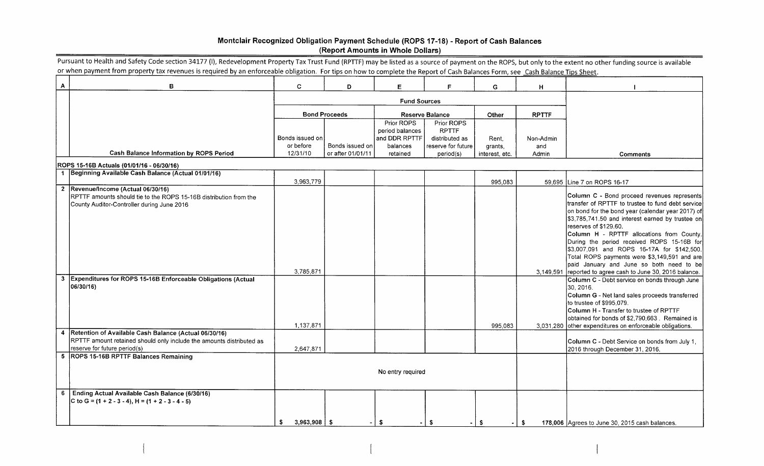## Montclair Recognized Obligation Payment Schedule (ROPS 17-18) - Report of Cash Balances Report Amounts in Whole Dollars)

| A            | в                                                                                                                                                                                                                                   | C.                     | D                                    | E                                              | F.                                           | G.             | H            |                                                                                                                                                                                                                                                                                                                                                                                                                                                                                                                                                                                                     |
|--------------|-------------------------------------------------------------------------------------------------------------------------------------------------------------------------------------------------------------------------------------|------------------------|--------------------------------------|------------------------------------------------|----------------------------------------------|----------------|--------------|-----------------------------------------------------------------------------------------------------------------------------------------------------------------------------------------------------------------------------------------------------------------------------------------------------------------------------------------------------------------------------------------------------------------------------------------------------------------------------------------------------------------------------------------------------------------------------------------------------|
|              |                                                                                                                                                                                                                                     | <b>Fund Sources</b>    |                                      |                                                |                                              |                |              |                                                                                                                                                                                                                                                                                                                                                                                                                                                                                                                                                                                                     |
|              |                                                                                                                                                                                                                                     |                        | <b>Bond Proceeds</b>                 |                                                | <b>Reserve Balance</b>                       | Other          | <b>RPTTF</b> |                                                                                                                                                                                                                                                                                                                                                                                                                                                                                                                                                                                                     |
|              |                                                                                                                                                                                                                                     | Bonds issued on        |                                      | Prior ROPS<br>period balances<br>and DDR RPTTF | Prior ROPS<br><b>RPTTF</b><br>distributed as | Rent.          | Non-Admin    |                                                                                                                                                                                                                                                                                                                                                                                                                                                                                                                                                                                                     |
|              | Cash Balance Information by ROPS Period                                                                                                                                                                                             | or before<br>12/31/10  | Bonds issued on<br>or after 01/01/11 | balances                                       | reserve for future                           | grants,        | and          |                                                                                                                                                                                                                                                                                                                                                                                                                                                                                                                                                                                                     |
|              |                                                                                                                                                                                                                                     |                        |                                      | retained                                       | period(s)                                    | interest, etc. | Admin        | <b>Comments</b>                                                                                                                                                                                                                                                                                                                                                                                                                                                                                                                                                                                     |
|              | ROPS 15-16B Actuals (01/01/16 - 06/30/16)<br>1 Beginning Available Cash Balance (Actual 01/01/16)                                                                                                                                   |                        |                                      |                                                |                                              |                |              |                                                                                                                                                                                                                                                                                                                                                                                                                                                                                                                                                                                                     |
|              |                                                                                                                                                                                                                                     | 3,963,779              |                                      |                                                |                                              | 995,083        |              | 59,695 Line 7 on ROPS 16-17                                                                                                                                                                                                                                                                                                                                                                                                                                                                                                                                                                         |
| $\mathbf{3}$ | 2  Revenue/Income (Actual 06/30/16)<br>RPTTF amounts should tie to the ROPS 15-16B distribution from the<br>County Auditor-Controller during June 2016<br>Expenditures for ROPS 15-16B Enforceable Obligations (Actual<br>06/30/16) | 3,785,871              |                                      |                                                |                                              |                |              | Column C - Bond proceed revenues represents<br>transfer of RPTTF to trustee to fund debt service<br>on bond for the bond year (calendar year 2017) of<br>\$3,785,741.50 and interest earned by trustee on<br>reserves of \$129.60.<br>Column H - RPTTF allocations from County.<br>During the period received ROPS 15-16B for<br>\$3,007,091 and ROPS 16-17A for \$142,500.<br>Total ROPS payments were \$3,149,591 and are<br>paid January and June so both need to be<br>3,149,591 reported to agree cash to June 30, 2016 balance.<br>Column C - Debt service on bonds through June<br>30, 2016. |
|              |                                                                                                                                                                                                                                     | 1,137,871              |                                      |                                                |                                              | 995,083        |              | Column G - Net land sales proceeds transferred<br>to trustee of \$995,079.<br>Column H - Transfer to trustee of RPTTF<br>obtained for bonds of \$2,790,663. Remained is<br>3,031,280 other expenditures on enforceable obligations.                                                                                                                                                                                                                                                                                                                                                                 |
| 4            | Retention of Available Cash Balance (Actual 06/30/16)<br>RPTTF amount retained should only include the amounts distributed as<br>reserve for future period(s)                                                                       | 2,647,871              |                                      |                                                |                                              |                |              | Column C - Debt Service on bonds from July 1,<br>2016 through December 31, 2016.                                                                                                                                                                                                                                                                                                                                                                                                                                                                                                                    |
|              | 5 ROPS 15-16B RPTTF Balances Remaining                                                                                                                                                                                              |                        |                                      | No entry required                              |                                              |                |              |                                                                                                                                                                                                                                                                                                                                                                                                                                                                                                                                                                                                     |
| 6            | Ending Actual Available Cash Balance (6/30/16)<br>C to G = $(1 + 2 - 3 - 4)$ , H = $(1 + 2 - 3 - 4 - 5)$                                                                                                                            |                        |                                      |                                                |                                              |                |              |                                                                                                                                                                                                                                                                                                                                                                                                                                                                                                                                                                                                     |
|              |                                                                                                                                                                                                                                     | $3,963,908$ \ \$<br>\$ |                                      | -\$                                            | -\$                                          | $-1$ \$        | - \$         | 178,006 Agrees to June 30, 2015 cash balances.                                                                                                                                                                                                                                                                                                                                                                                                                                                                                                                                                      |